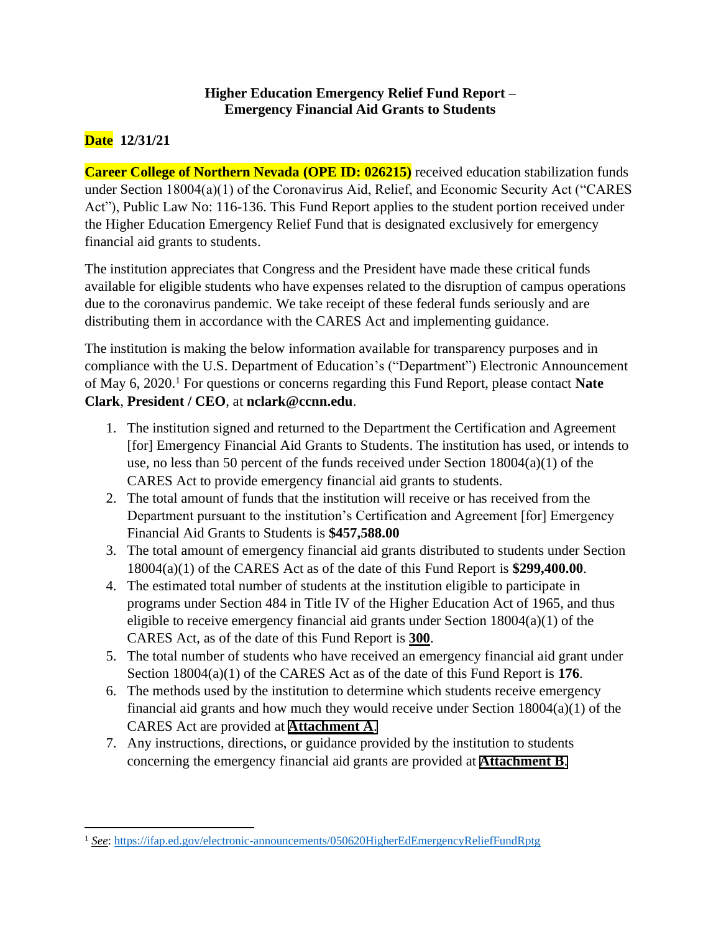## **Higher Education Emergency Relief Fund Report – Emergency Financial Aid Grants to Students**

# **Date 12/31/21**

**Career College of Northern Nevada (OPE ID: 026215)** received education stabilization funds under Section 18004(a)(1) of the Coronavirus Aid, Relief, and Economic Security Act ("CARES Act"), Public Law No: 116-136. This Fund Report applies to the student portion received under the Higher Education Emergency Relief Fund that is designated exclusively for emergency financial aid grants to students.

The institution appreciates that Congress and the President have made these critical funds available for eligible students who have expenses related to the disruption of campus operations due to the coronavirus pandemic. We take receipt of these federal funds seriously and are distributing them in accordance with the CARES Act and implementing guidance.

The institution is making the below information available for transparency purposes and in compliance with the U.S. Department of Education's ("Department") Electronic Announcement of May 6, 2020. <sup>1</sup> For questions or concerns regarding this Fund Report, please contact **Nate Clark**, **President / CEO**, at **nclark@ccnn.edu**.

- 1. The institution signed and returned to the Department the Certification and Agreement [for] Emergency Financial Aid Grants to Students. The institution has used, or intends to use, no less than 50 percent of the funds received under Section  $18004(a)(1)$  of the CARES Act to provide emergency financial aid grants to students.
- 2. The total amount of funds that the institution will receive or has received from the Department pursuant to the institution's Certification and Agreement [for] Emergency Financial Aid Grants to Students is **\$457,588.00**
- 3. The total amount of emergency financial aid grants distributed to students under Section 18004(a)(1) of the CARES Act as of the date of this Fund Report is **\$299,400.00**.
- 4. The estimated total number of students at the institution eligible to participate in programs under Section 484 in Title IV of the Higher Education Act of 1965, and thus eligible to receive emergency financial aid grants under Section 18004(a)(1) of the CARES Act, as of the date of this Fund Report is **300**.
- 5. The total number of students who have received an emergency financial aid grant under Section 18004(a)(1) of the CARES Act as of the date of this Fund Report is **176**.
- 6. The methods used by the institution to determine which students receive emergency financial aid grants and how much they would receive under Section 18004(a)(1) of the CARES Act are provided at **[Attachment A](#page-1-0)**.
- 7. Any instructions, directions, or guidance provided by the institution to students concerning the emergency financial aid grants are provided at **[Attachment B](#page-7-0)**.

<sup>&</sup>lt;sup>1</sup> See:<https://ifap.ed.gov/electronic-announcements/050620HigherEdEmergencyReliefFundRptg>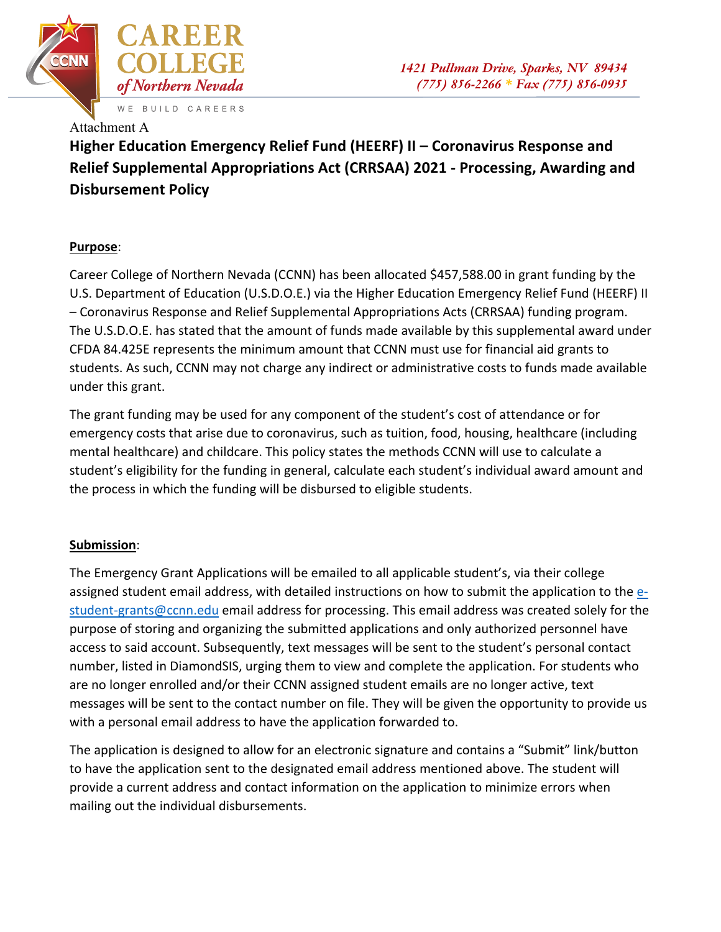<span id="page-1-0"></span>

## Attachment A

**Higher Education Emergency Relief Fund (HEERF) II – Coronavirus Response and Relief Supplemental Appropriations Act (CRRSAA) 2021 - Processing, Awarding and Disbursement Policy**

## **Purpose**:

Career College of Northern Nevada (CCNN) has been allocated \$457,588.00 in grant funding by the U.S. Department of Education (U.S.D.O.E.) via the Higher Education Emergency Relief Fund (HEERF) II – Coronavirus Response and Relief Supplemental Appropriations Acts (CRRSAA) funding program. The U.S.D.O.E. has stated that the amount of funds made available by this supplemental award under CFDA 84.425E represents the minimum amount that CCNN must use for financial aid grants to students. As such, CCNN may not charge any indirect or administrative costs to funds made available under this grant.

The grant funding may be used for any component of the student's cost of attendance or for emergency costs that arise due to coronavirus, such as tuition, food, housing, healthcare (including mental healthcare) and childcare. This policy states the methods CCNN will use to calculate a student's eligibility for the funding in general, calculate each student's individual award amount and the process in which the funding will be disbursed to eligible students.

## **Submission**:

The Emergency Grant Applications will be emailed to all applicable student's, via their college assigned student email address, with detailed instructions on how to submit the application to the estudent-grants@ccnn.edu email address for processing. This email address was created solely for the purpose of storing and organizing the submitted applications and only authorized personnel have access to said account. Subsequently, text messages will be sent to the student's personal contact number, listed in DiamondSIS, urging them to view and complete the application. For students who are no longer enrolled and/or their CCNN assigned student emails are no longer active, text messages will be sent to the contact number on file. They will be given the opportunity to provide us with a personal email address to have the application forwarded to.

The application is designed to allow for an electronic signature and contains a "Submit" link/button to have the application sent to the designated email address mentioned above. The student will provide a current address and contact information on the application to minimize errors when mailing out the individual disbursements.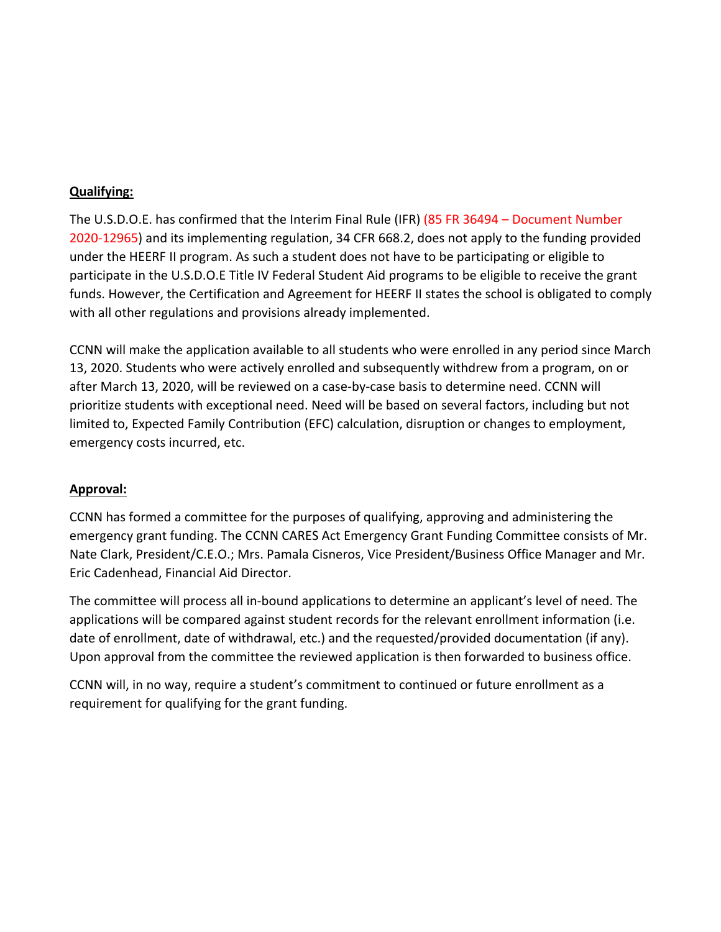### **Qualifying:**

The U.S.D.O.E. has confirmed that the Interim Final Rule (IFR) (85 FR 36494 – Document Number 2020-12965) and its implementing regulation, 34 CFR 668.2, does not apply to the funding provided under the HEERF II program. As such a student does not have to be participating or eligible to participate in the U.S.D.O.E Title IV Federal Student Aid programs to be eligible to receive the grant funds. However, the Certification and Agreement for HEERF II states the school is obligated to comply with all other regulations and provisions already implemented.

CCNN will make the application available to all students who were enrolled in any period since March 13, 2020. Students who were actively enrolled and subsequently withdrew from a program, on or after March 13, 2020, will be reviewed on a case-by-case basis to determine need. CCNN will prioritize students with exceptional need. Need will be based on several factors, including but not limited to, Expected Family Contribution (EFC) calculation, disruption or changes to employment, emergency costs incurred, etc.

### **Approval:**

CCNN has formed a committee for the purposes of qualifying, approving and administering the emergency grant funding. The CCNN CARES Act Emergency Grant Funding Committee consists of Mr. Nate Clark, President/C.E.O.; Mrs. Pamala Cisneros, Vice President/Business Office Manager and Mr. Eric Cadenhead, Financial Aid Director.

The committee will process all in-bound applications to determine an applicant's level of need. The applications will be compared against student records for the relevant enrollment information (i.e. date of enrollment, date of withdrawal, etc.) and the requested/provided documentation (if any). Upon approval from the committee the reviewed application is then forwarded to business office.

CCNN will, in no way, require a student's commitment to continued or future enrollment as a requirement for qualifying for the grant funding.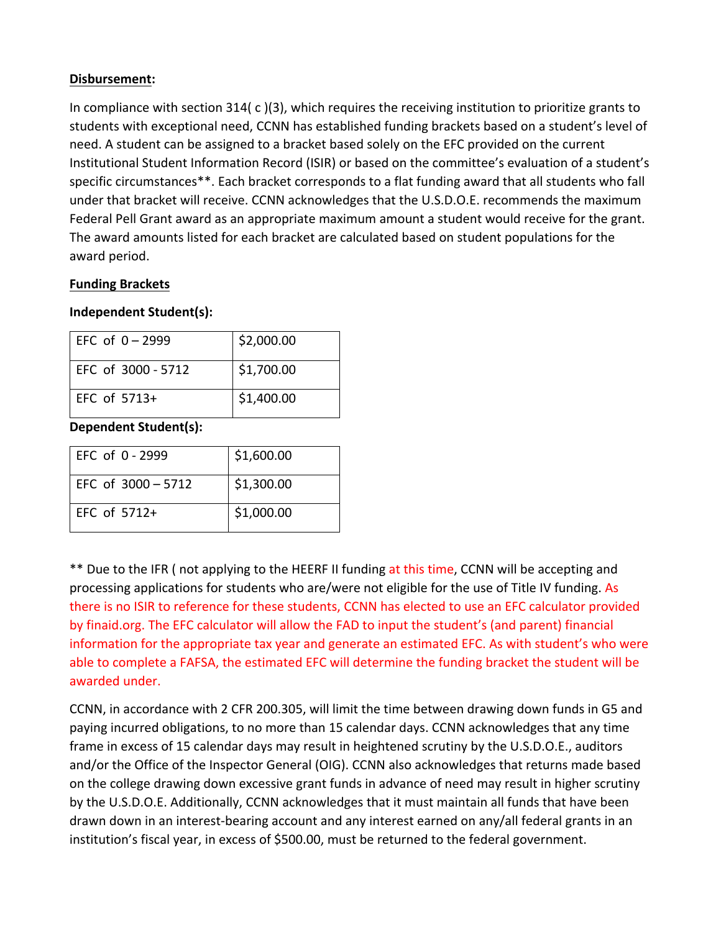### **Disbursement:**

In compliance with section 314( c )(3), which requires the receiving institution to prioritize grants to students with exceptional need, CCNN has established funding brackets based on a student's level of need. A student can be assigned to a bracket based solely on the EFC provided on the current Institutional Student Information Record (ISIR) or based on the committee's evaluation of a student's specific circumstances\*\*. Each bracket corresponds to a flat funding award that all students who fall under that bracket will receive. CCNN acknowledges that the U.S.D.O.E. recommends the maximum Federal Pell Grant award as an appropriate maximum amount a student would receive for the grant. The award amounts listed for each bracket are calculated based on student populations for the award period.

### **Funding Brackets**

### **Independent Student(s):**

| $EFC of 0-2999$    | \$2,000.00 |
|--------------------|------------|
| FFC of 3000 - 5712 | \$1,700.00 |
| EFC of $5713+$     | \$1,400.00 |

**Dependent Student(s):**

| EFC of $0 - 2999$    | \$1,600.00 |
|----------------------|------------|
| EFC of $3000 - 5712$ | \$1,300.00 |
| $EFC$ of $5712+$     | \$1,000.00 |

\*\* Due to the IFR (not applying to the HEERF II funding at this time, CCNN will be accepting and processing applications for students who are/were not eligible for the use of Title IV funding. As there is no ISIR to reference for these students, CCNN has elected to use an EFC calculator provided by finaid.org. The EFC calculator will allow the FAD to input the student's (and parent) financial information for the appropriate tax year and generate an estimated EFC. As with student's who were able to complete a FAFSA, the estimated EFC will determine the funding bracket the student will be awarded under.

CCNN, in accordance with 2 CFR 200.305, will limit the time between drawing down funds in G5 and paying incurred obligations, to no more than 15 calendar days. CCNN acknowledges that any time frame in excess of 15 calendar days may result in heightened scrutiny by the U.S.D.O.E., auditors and/or the Office of the Inspector General (OIG). CCNN also acknowledges that returns made based on the college drawing down excessive grant funds in advance of need may result in higher scrutiny by the U.S.D.O.E. Additionally, CCNN acknowledges that it must maintain all funds that have been drawn down in an interest-bearing account and any interest earned on any/all federal grants in an institution's fiscal year, in excess of \$500.00, must be returned to the federal government.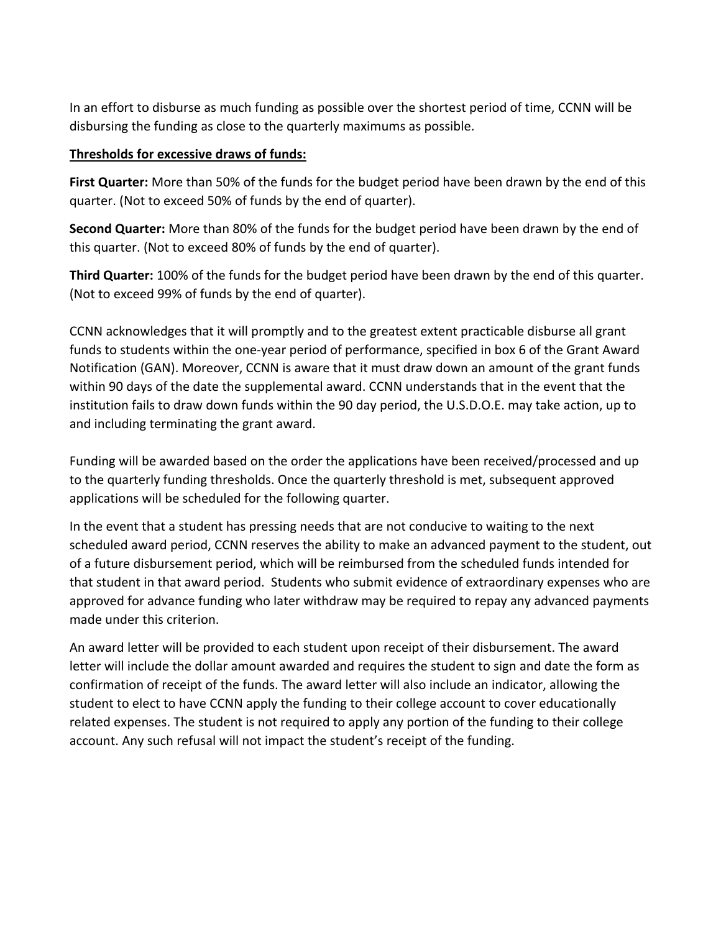In an effort to disburse as much funding as possible over the shortest period of time, CCNN will be disbursing the funding as close to the quarterly maximums as possible.

### **Thresholds for excessive draws of funds:**

**First Quarter:** More than 50% of the funds for the budget period have been drawn by the end of this quarter. (Not to exceed 50% of funds by the end of quarter).

**Second Quarter:** More than 80% of the funds for the budget period have been drawn by the end of this quarter. (Not to exceed 80% of funds by the end of quarter).

**Third Quarter:** 100% of the funds for the budget period have been drawn by the end of this quarter. (Not to exceed 99% of funds by the end of quarter).

CCNN acknowledges that it will promptly and to the greatest extent practicable disburse all grant funds to students within the one-year period of performance, specified in box 6 of the Grant Award Notification (GAN). Moreover, CCNN is aware that it must draw down an amount of the grant funds within 90 days of the date the supplemental award. CCNN understands that in the event that the institution fails to draw down funds within the 90 day period, the U.S.D.O.E. may take action, up to and including terminating the grant award.

Funding will be awarded based on the order the applications have been received/processed and up to the quarterly funding thresholds. Once the quarterly threshold is met, subsequent approved applications will be scheduled for the following quarter.

In the event that a student has pressing needs that are not conducive to waiting to the next scheduled award period, CCNN reserves the ability to make an advanced payment to the student, out of a future disbursement period, which will be reimbursed from the scheduled funds intended for that student in that award period. Students who submit evidence of extraordinary expenses who are approved for advance funding who later withdraw may be required to repay any advanced payments made under this criterion.

An award letter will be provided to each student upon receipt of their disbursement. The award letter will include the dollar amount awarded and requires the student to sign and date the form as confirmation of receipt of the funds. The award letter will also include an indicator, allowing the student to elect to have CCNN apply the funding to their college account to cover educationally related expenses. The student is not required to apply any portion of the funding to their college account. Any such refusal will not impact the student's receipt of the funding.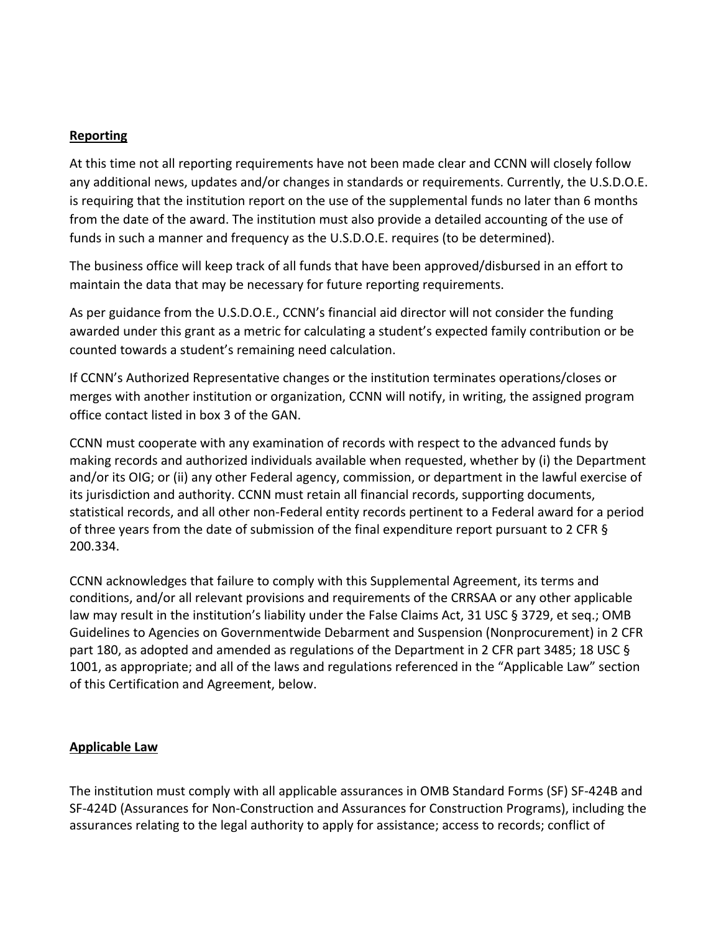### **Reporting**

At this time not all reporting requirements have not been made clear and CCNN will closely follow any additional news, updates and/or changes in standards or requirements. Currently, the U.S.D.O.E. is requiring that the institution report on the use of the supplemental funds no later than 6 months from the date of the award. The institution must also provide a detailed accounting of the use of funds in such a manner and frequency as the U.S.D.O.E. requires (to be determined).

The business office will keep track of all funds that have been approved/disbursed in an effort to maintain the data that may be necessary for future reporting requirements.

As per guidance from the U.S.D.O.E., CCNN's financial aid director will not consider the funding awarded under this grant as a metric for calculating a student's expected family contribution or be counted towards a student's remaining need calculation.

If CCNN's Authorized Representative changes or the institution terminates operations/closes or merges with another institution or organization, CCNN will notify, in writing, the assigned program office contact listed in box 3 of the GAN.

CCNN must cooperate with any examination of records with respect to the advanced funds by making records and authorized individuals available when requested, whether by (i) the Department and/or its OIG; or (ii) any other Federal agency, commission, or department in the lawful exercise of its jurisdiction and authority. CCNN must retain all financial records, supporting documents, statistical records, and all other non-Federal entity records pertinent to a Federal award for a period of three years from the date of submission of the final expenditure report pursuant to 2 CFR § 200.334.

CCNN acknowledges that failure to comply with this Supplemental Agreement, its terms and conditions, and/or all relevant provisions and requirements of the CRRSAA or any other applicable law may result in the institution's liability under the False Claims Act, 31 USC § 3729, et seq.; OMB Guidelines to Agencies on Governmentwide Debarment and Suspension (Nonprocurement) in 2 CFR part 180, as adopted and amended as regulations of the Department in 2 CFR part 3485; 18 USC § 1001, as appropriate; and all of the laws and regulations referenced in the "Applicable Law" section of this Certification and Agreement, below.

### **Applicable Law**

The institution must comply with all applicable assurances in OMB Standard Forms (SF) SF-424B and SF-424D (Assurances for Non-Construction and Assurances for Construction Programs), including the assurances relating to the legal authority to apply for assistance; access to records; conflict of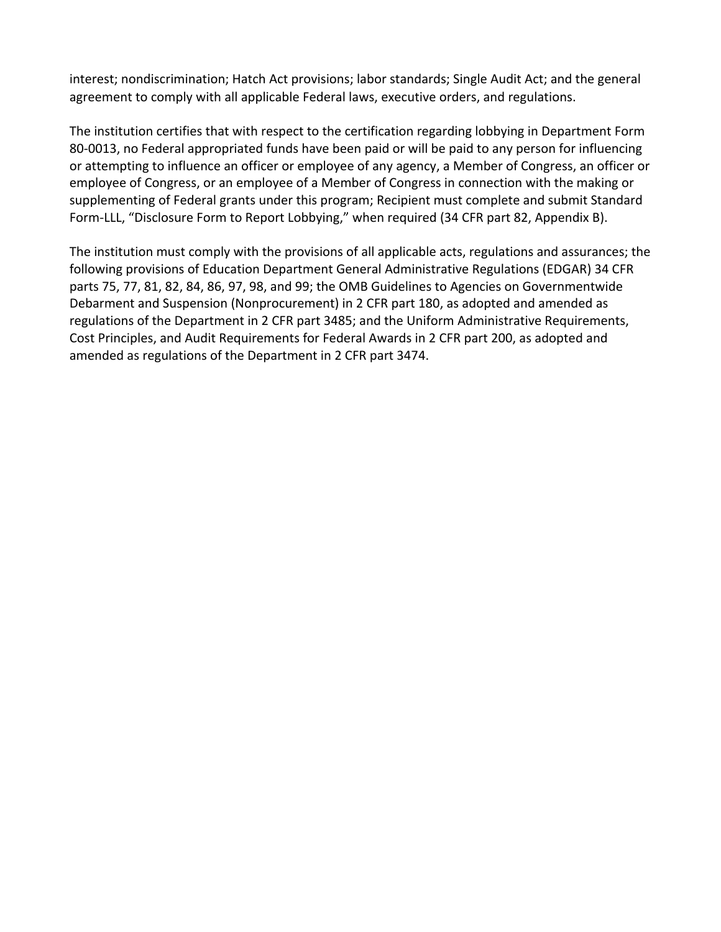interest; nondiscrimination; Hatch Act provisions; labor standards; Single Audit Act; and the general agreement to comply with all applicable Federal laws, executive orders, and regulations.

The institution certifies that with respect to the certification regarding lobbying in Department Form 80-0013, no Federal appropriated funds have been paid or will be paid to any person for influencing or attempting to influence an officer or employee of any agency, a Member of Congress, an officer or employee of Congress, or an employee of a Member of Congress in connection with the making or supplementing of Federal grants under this program; Recipient must complete and submit Standard Form-LLL, "Disclosure Form to Report Lobbying," when required (34 CFR part 82, Appendix B).

The institution must comply with the provisions of all applicable acts, regulations and assurances; the following provisions of Education Department General Administrative Regulations (EDGAR) 34 CFR parts 75, 77, 81, 82, 84, 86, 97, 98, and 99; the OMB Guidelines to Agencies on Governmentwide Debarment and Suspension (Nonprocurement) in 2 CFR part 180, as adopted and amended as regulations of the Department in 2 CFR part 3485; and the Uniform Administrative Requirements, Cost Principles, and Audit Requirements for Federal Awards in 2 CFR part 200, as adopted and amended as regulations of the Department in 2 CFR part 3474.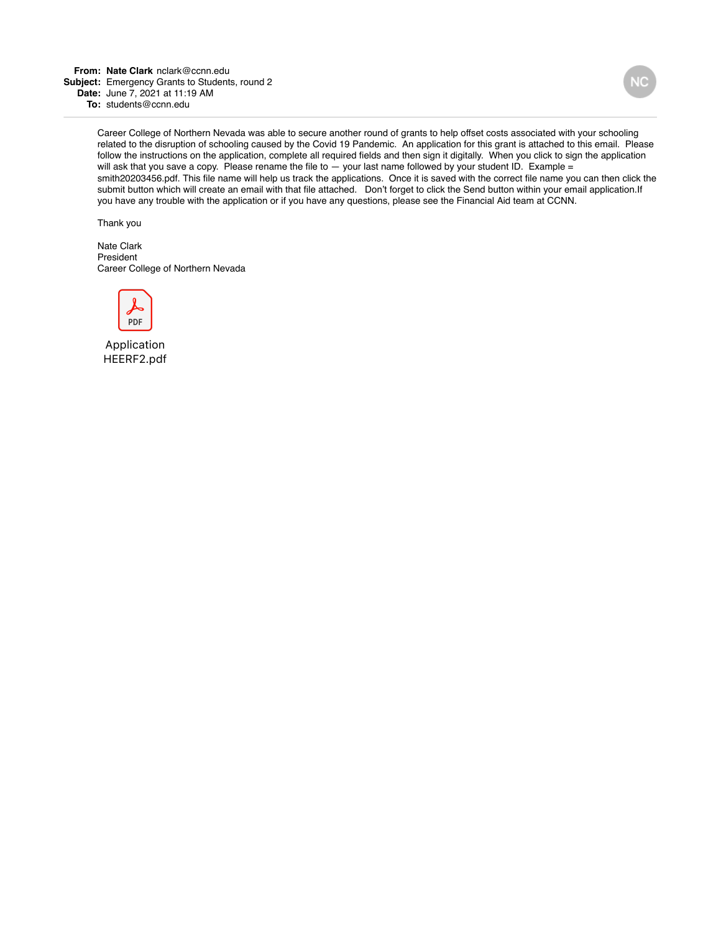<span id="page-7-0"></span>**From: Nate Clark** nclark@ccnn.edu **Subject:** Emergency Grants to Students, round 2 **Date:** June 7, 2021 at 11:19 AM **To:** students@ccnn.edu

> Career College of Northern Nevada was able to secure another round of grants to help offset costs associated with your schooling related to the disruption of schooling caused by the Covid 19 Pandemic. An application for this grant is attached to this email. Please follow the instructions on the application, complete all required fields and then sign it digitally. When you click to sign the application will ask that you save a copy. Please rename the file to - your last name followed by your student ID. Example = smith20203456.pdf. This file name will help us track the applications. Once it is saved with the correct file name you can then click the submit button which will create an email with that file attached. Don't forget to click the Send button within your email application.If you have any trouble with the application or if you have any questions, please see the Financial Aid team at CCNN.

Thank you

Nate Clark President Career College of Northern Nevada



Application HEERF2.pdf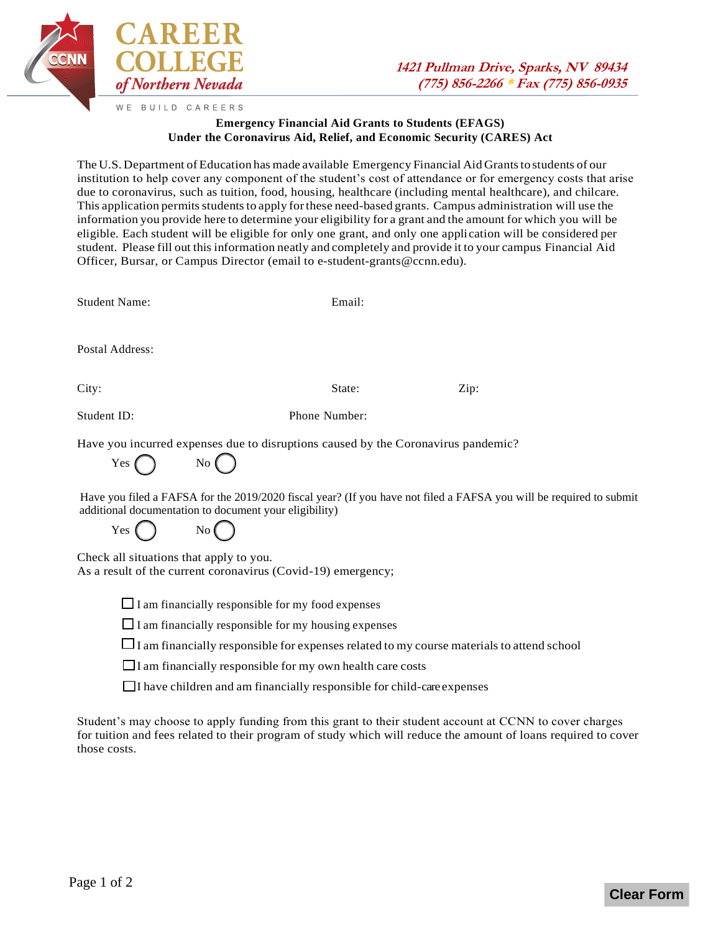

#### **Emergency Financial Aid Grants to Students (EFAGS) Under the Coronavirus Aid, Relief, and Economic Security (CARES) Act**

The U.S. Department of Education has made available Emergency Financial Aid Grants to students of our institution to help cover any component of the student's cost of attendance or for emergency costs that arise due to coronavirus, such as tuition, food, housing, healthcare (including mental healthcare), and chilcare. This application permits students to apply for these need-based grants. Campus administration will use the information you provide here to determine your eligibility for a grant and the amount for which you will be eligible. Each student will be eligible for only one grant, and only one application will be considered per student. Please fill out this information neatly and completely and provide it to your campus Financial Aid Officer, Bursar, or Campus Director (email to e-student-grants@ccnn.edu).

Student Name: Email:

Postal Address:

City: State: Zip:

Student ID: Phone Number:

Have you incurred expenses due to disruptions caused by the Coronavirus pandemic?

 $Yes \bigcap$  No

Have you filed a FAFSA for the 2019/2020 fiscal year? (If you have not filed a FAFSA you will be required to submit additional documentation to document your eligibility)

Yes () No

Check all situations that apply to you.

As a result of the current coronavirus (Covid-19) emergency;

 $\Box$  I am financially responsible for my food expenses

 $\Box$  I am financially responsible for my housing expenses

 $\Box$  I am financially responsible for expenses related to my course materials to attend school

 $\Box$  I am financially responsible for my own health care costs

 $\Box$  I have children and am financially responsible for child-care expenses

Student's may choose to apply funding from this grant to their student account at CCNN to cover charges for tuition and fees related to their program of study which will reduce the amount of loans required to cover those costs.